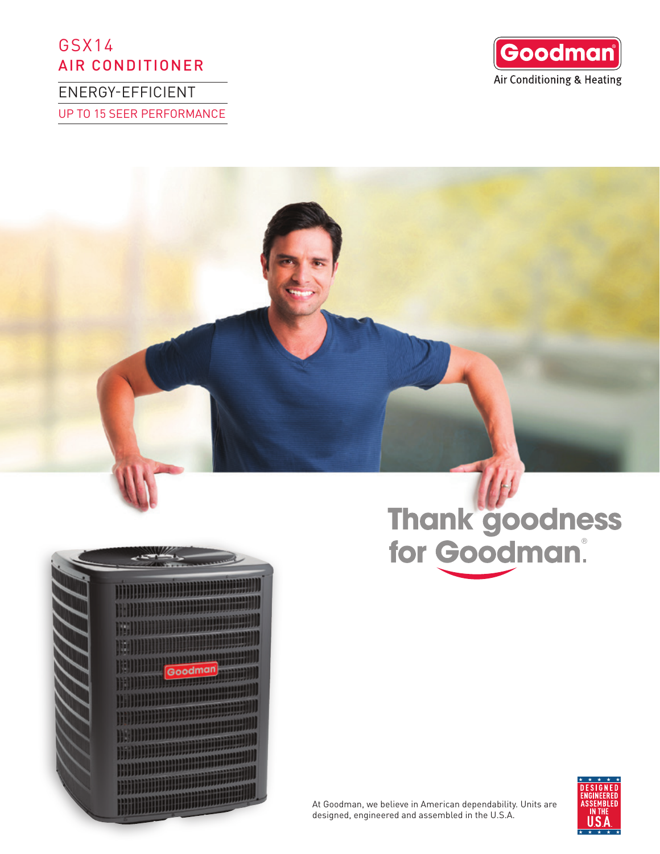# GSX14 AIR CONDITIONER

ENERGY-EFFICIENT UP TO 15 SEER PERFORMANCE



# Goodma

Thank goodness<br>for Goodman.

At Goodman, we believe in American dependability. Units are designed, engineered and assembled in the U.S.A.

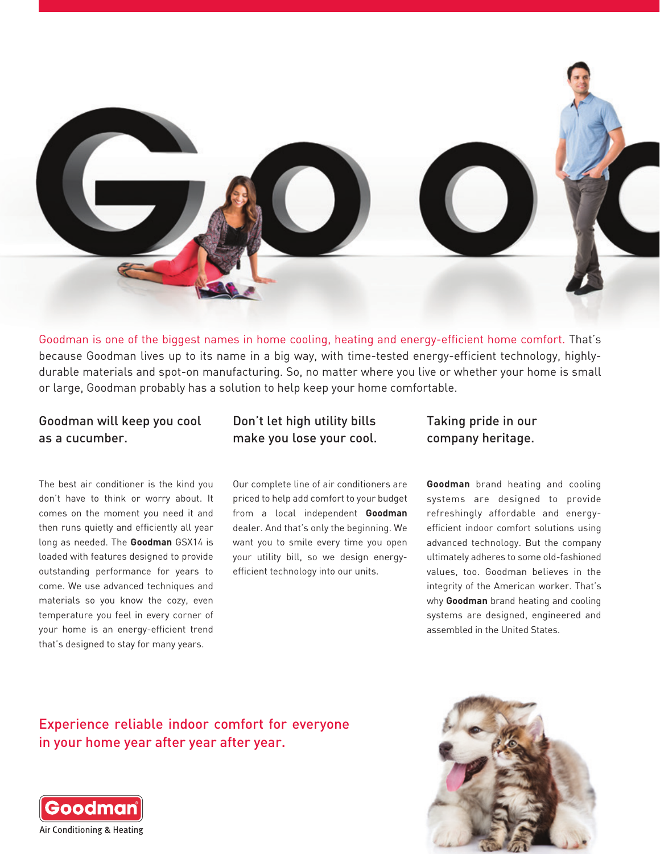

Goodman is one of the biggest names in home cooling, heating and energy-efficient home comfort. That's because Goodman lives up to its name in a big way, with time-tested energy-efficient technology, highlydurable materials and spot-on manufacturing. So, no matter where you live or whether your home is small or large, Goodman probably has a solution to help keep your home comfortable.

## Goodman will keep you cool as a cucumber.

The best air conditioner is the kind you don't have to think or worry about. It comes on the moment you need it and then runs quietly and efficiently all year long as needed. The **Goodman** GSX14 is loaded with features designed to provide outstanding performance for years to come. We use advanced techniques and materials so you know the cozy, even temperature you feel in every corner of your home is an energy-efficient trend that's designed to stay for many years.

# Don't let high utility bills make you lose your cool.

Our complete line of air conditioners are priced to help add comfort to your budget from a local independent **Goodman**  dealer. And that's only the beginning. We want you to smile every time you open your utility bill, so we design energyefficient technology into our units.

## Taking pride in our company heritage.

**Goodman** brand heating and cooling systems are designed to provide refreshingly affordable and energyefficient indoor comfort solutions using advanced technology. But the company ultimately adheres to some old-fashioned values, too. Goodman believes in the integrity of the American worker. That's why **Goodman** brand heating and cooling systems are designed, engineered and assembled in the United States.

Experience reliable indoor comfort for everyone in your home year after year after year.



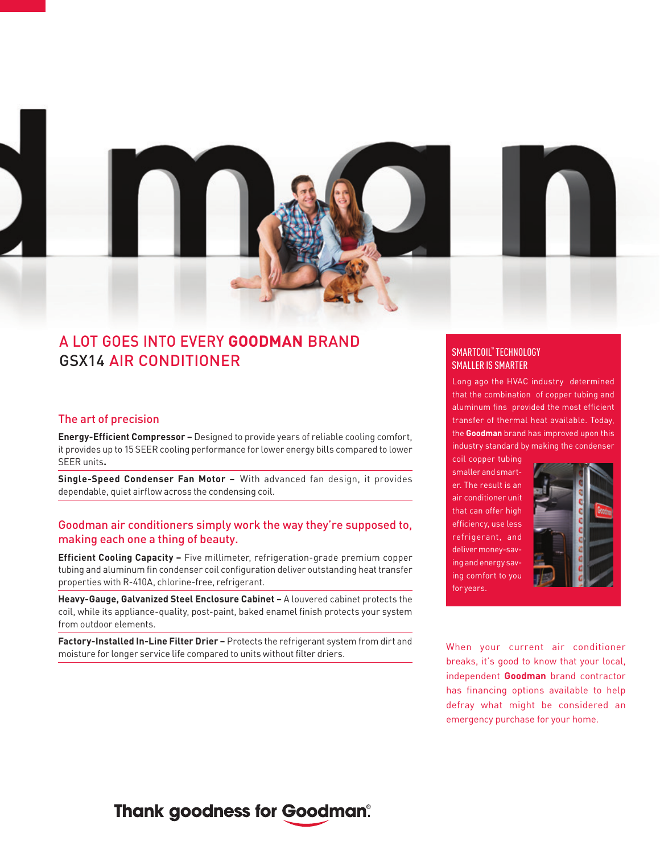

# A LOT GOES INTO EVERY **GOODMAN** BRAND GSX14 AIR CONDITIONER

#### The art of precision

**Energy-Efficient Compressor –** Designed to provide years of reliable cooling comfort, it provides up to 15 SEER cooling performance for lower energy bills compared to lower SEER units**.**

**Single-Speed Condenser Fan Motor –** With advanced fan design, it provides dependable, quiet airflow across the condensing coil.

### Goodman air conditioners simply work the way they're supposed to, making each one a thing of beauty.

**Efficient Cooling Capacity –** Five millimeter, refrigeration-grade premium copper tubing and aluminum fin condenser coil configuration deliver outstanding heat transfer properties with R-410A, chlorine-free, refrigerant.

**Heavy-Gauge, Galvanized Steel Enclosure Cabinet –** A louvered cabinet protects the coil, while its appliance-quality, post-paint, baked enamel finish protects your system from outdoor elements.

**Factory-Installed In-Line Filter Drier –** Protects the refrigerant system from dirt and **Factor y-instatted in-Line Fitter Drier –** Protects the remgerant system nom uncand when your current air conditioner moisture for longer service life compared to units without filter driers.

#### SMARTCOIL™ TECHNOLOGY SMALLER IS SMARTER

Long ago the HVAC industry determined that the combination of copper tubing and aluminum fins provided the most efficient transfer of thermal heat available. Today, the **Goodman** brand has improved upon this industry standard by making the condenser

coil copper tubing smaller and smarter. The result is an air conditioner unit that can offer high efficiency, use less refrigerant, and deliver money-saving and energy saving comfort to you for years.



breaks, it's good to know that your local, independent **Goodman** brand contractor has financing options available to help defray what might be considered an emergency purchase for your home.

# **Thank goodness for Goodman®**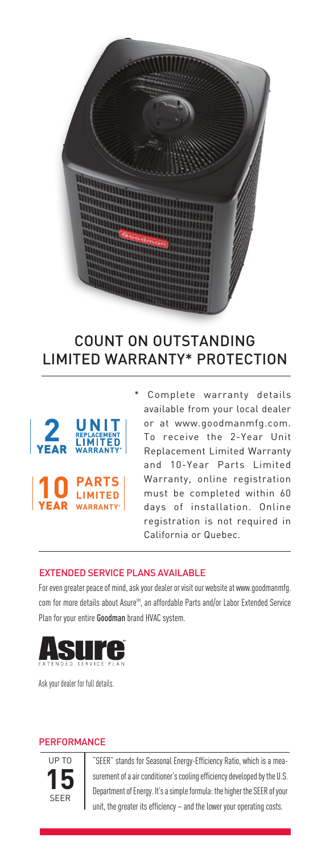

# COUNT ON OUTSTANDING LIMITED WARRANTY\* PROTECTION



Complete warranty details available from your local dealer or at www.goodmanmfg.com. To receive the 2-Year Unit Replacement Limited Warranty and 10-Year Parts Limited Warranty, online registration must be completed within 60 days of installation. Online registration is not required in California or Quebec.

#### EXTENDED SERVICE PLANS AVAILABLE

For even greater peace of mind, ask your dealer or visit our website at www.goodmanmfg. com for more details about Asure<sup>SM</sup>, an affordable Parts and/or Labor Extended Service Plan for your entire Goodman brand HVAC system.



Ask your dealer for full details.

#### **PERFORMANCE**



"SEER" stands for Seasonal Energy-Efficiency Ratio, which is a measurement of a air conditioner's cooling efficiency developed by the U.S. Department of Energy. It's a simple formula: the higher the SEER of your unit, the greater its efficiency – and the lower your operating costs.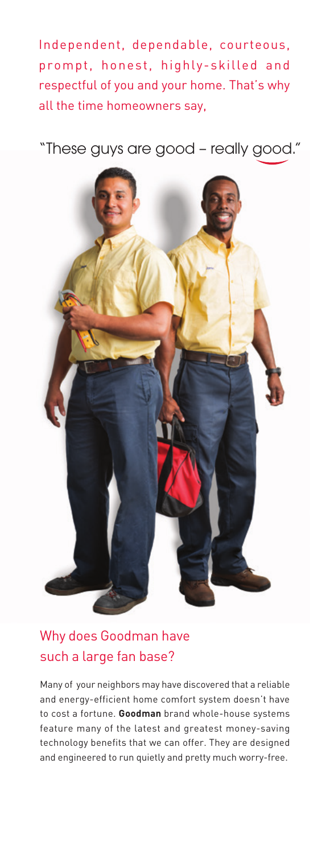Independent, dependable, courteous, prompt, honest, highly-skilled and respectful of you and your home. That's why all the time homeowners say,

"These guys are good – really good."



# Why does Goodman have such a large fan base?

Many of your neighbors may have discovered that a reliable and energy-efficient home comfort system doesn't have to cost a fortune. **Goodman** brand whole-house systems feature many of the latest and greatest money-saving technology benefits that we can offer. They are designed and engineered to run quietly and pretty much worry-free.